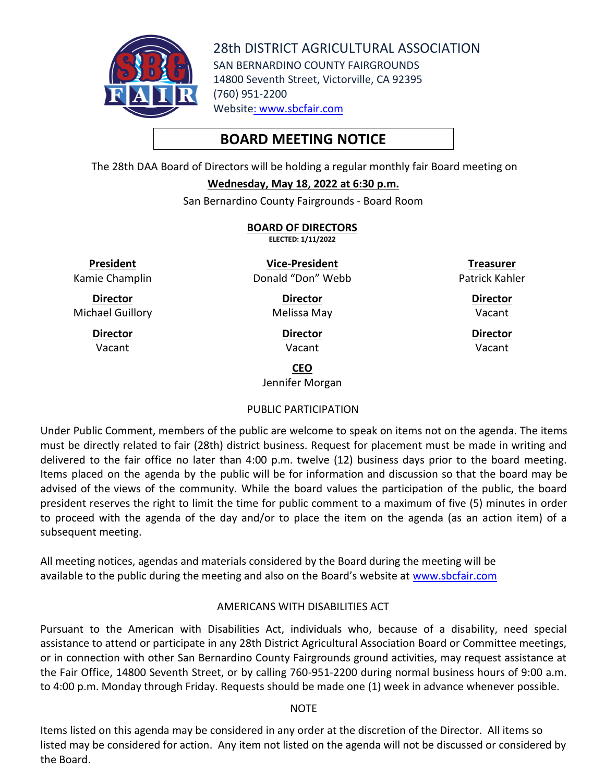

28th DISTRICT AGRICULTURAL ASSOCIATION SAN BERNARDINO COUNTY FAIRGROUNDS 14800 Seventh Street, Victorville, CA 92395 (760) 951-2200 Website: [www.sbcfair.com](http://www.sbcfair.com/)

# **BOARD MEETING NOTICE**

The 28th DAA Board of Directors will be holding a regular monthly fair Board meeting on

#### **Wednesday, May 18, 2022 at 6:30 p.m.**

San Bernardino County Fairgrounds - Board Room

**BOARD OF DIRECTORS ELECTED: 1/11/2022**

**President** Kamie Champlin

**Director** Michael Guillory

> **Director** Vacant

**Vice-President** Donald "Don" Webb

> **Director** Melissa May

> > **Director** Vacant

**Treasurer** Patrick Kahler

> **Director** Vacant

**Director** Vacant

**CEO**

Jennifer Morgan

# PUBLIC PARTICIPATION

Under Public Comment, members of the public are welcome to speak on items not on the agenda. The items must be directly related to fair (28th) district business. Request for placement must be made in writing and delivered to the fair office no later than 4:00 p.m. twelve (12) business days prior to the board meeting. Items placed on the agenda by the public will be for information and discussion so that the board may be advised of the views of the community. While the board values the participation of the public, the board president reserves the right to limit the time for public comment to a maximum of five (5) minutes in order to proceed with the agenda of the day and/or to place the item on the agenda (as an action item) of a subsequent meeting.

All meeting notices, agendas and materials considered by the Board during the meeting will be available to the public during the meeting and also on the Board's website at [www.sbcfair.com](http://www.sbcfair.com/)

# AMERICANS WITH DISABILITIES ACT

Pursuant to the American with Disabilities Act, individuals who, because of a disability, need special assistance to attend or participate in any 28th District Agricultural Association Board or Committee meetings, or in connection with other San Bernardino County Fairgrounds ground activities, may request assistance at the Fair Office, 14800 Seventh Street, or by calling 760-951-2200 during normal business hours of 9:00 a.m. to 4:00 p.m. Monday through Friday. Requests should be made one (1) week in advance whenever possible.

#### **NOTE**

Items listed on this agenda may be considered in any order at the discretion of the Director. All items so listed may be considered for action. Any item not listed on the agenda will not be discussed or considered by the Board.